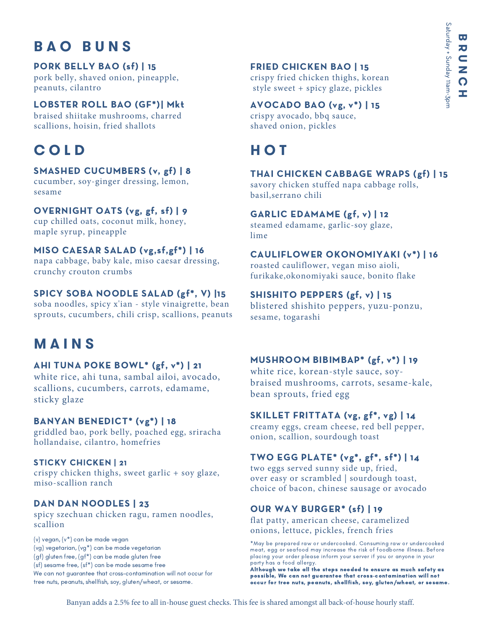## **B A O B U N S**

#### PORK BELLY BAO (sf) | 15

pork belly, shaved onion, pineapple, peanuts, cilantro

#### LOBSTER ROLL BAO (GF\*)| Mkt

braised shiitake mushrooms, charred scallions, hoisin, fried shallots

## **C O L D**

#### SMASHED CUCUMBERS (v, gf) | 8

cucumber, soy-ginger dressing, lemon, sesame

#### OVERNIGHT OATS (vg, gf, sf) | 9

cup chilled oats, coconut milk, honey, maple syrup, pineapple

#### MISO CAESAR SALAD (vg,sf,gf\*) | 16

napa cabbage, baby kale, miso caesar dressing, crunchy crouton crumbs

#### SPICY SOBA NOODLE SALAD (gf\*, V) |15

soba noodles, spicy x'ian - style vinaigrette, bean sprouts, cucumbers, chili crisp, scallions, peanuts

## **M A I N S**

#### AHI TUNA POKE BOWL\* (gf, v\*) | 21

white rice, ahi tuna, sambal ailoi, avocado, scallions, cucumbers, carrots, edamame, sticky glaze

#### BANYAN BENEDICT\* (vg\*) | 18

griddled bao, pork belly, poached egg, sriracha hollandaise, cilantro, homefries

#### STICKY CHICKEN | 21

crispy chicken thighs, sweet garlic + soy glaze, miso-scallion ranch

### DAN DAN NOODLES | 23

spicy szechuan chicken ragu, ramen noodles, scallion

(v) vegan, (v\*) can be made vegan (vg) vegetarian, (vg\*) can be made vegetarian (gf) gluten free, (gf\*) can be made gluten free (sf) sesame free, (sf\*) can be made sesame free We can not guarantee that cross-contamination will not occur for tree nuts, peanuts, shellfish, soy, gluten/wheat, or sesame.

#### FRIED CHICKEN BAO | 15

crispy fried chicken thighs, korean style sweet + spicy glaze, pickles

#### AVOCADO BAO (vg, v\*) | 15

crispy avocado, bbq sauce, shaved onion, pickles

# **H O T**

#### THAI CHICKEN CABBAGE WRAPS (gf) | 15

savory chicken stuffed napa cabbage rolls, basil,serrano chili

#### GARLIC EDAMAME (gf, v) | 12

steamed edamame, garlic-soy glaze, lime

#### CAULIFLOWER OKONOMIYAKI (v\*) | 16

roasted cauliflower, vegan miso aioli, furikake,okonomiyaki sauce, bonito flake

#### SHISHITO PEPPERS (gf, v) | 15

blistered shishito peppers, yuzu-ponzu, sesame, togarashi

#### MUSHROOM BIBIMBAP\* (gf, v\*) | 19

white rice, korean-style sauce, soybraised mushrooms, carrots, sesame-kale, bean sprouts, fried egg

#### SKILLET FRITTATA (vg, gf\*, vg) | 14

creamy eggs, cream cheese, red bell pepper, onion, scallion, sourdough toast

#### TWO EGG PLATE\* (vg\*, gf\*, sf\*) | 14

two eggs served sunny side up, fried, over easy or scrambled | sourdough toast, choice of bacon, chinese sausage or avocado

### OUR WAY BURGER\* (sf) | 19

flat patty, american cheese, caramelized onions, lettuce, pickles, french fries

\*May be prepared raw or undercooked. Consuming raw or undercooked meat, egg or seafood may increase the risk of foodborne illness. Before placing your order please inform your server if you or anyone in your party has a food allergy.

Although we take all the steps needed to ensure as much safety as possible, We can not guarantee that cross-contamination will not occur for tree nuts, peanuts, shellfish, soy, gluten/wheat, or sesame.

Banyan adds a 2.5% fee to all in-house guest checks. This fee is shared amongst all back-of-house hourly staff.